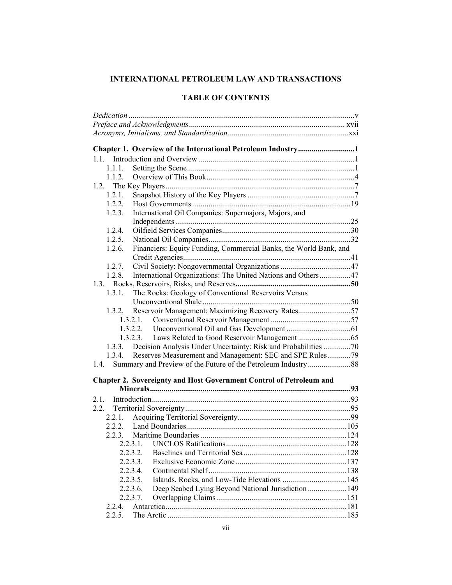# **INTERNATIONAL PETROLEUM LAW AND TRANSACTIONS**

|        | Chapter 1. Overview of the International Petroleum Industry1               |  |
|--------|----------------------------------------------------------------------------|--|
|        |                                                                            |  |
| 1.1.1. |                                                                            |  |
| 1.1.2. |                                                                            |  |
|        |                                                                            |  |
| 1.2.1. |                                                                            |  |
|        |                                                                            |  |
| 1.2.3. | International Oil Companies: Supermajors, Majors, and                      |  |
|        |                                                                            |  |
| 1.2.4. |                                                                            |  |
| 1.2.5. |                                                                            |  |
| 1.2.6. | Financiers: Equity Funding, Commercial Banks, the World Bank, and          |  |
|        |                                                                            |  |
| 1.2.7. |                                                                            |  |
| 1.2.8. | International Organizations: The United Nations and Others47               |  |
|        |                                                                            |  |
| 1.3.1. | The Rocks: Geology of Conventional Reservoirs Versus                       |  |
|        |                                                                            |  |
|        | 1.3.2. Reservoir Management: Maximizing Recovery Rates57                   |  |
|        |                                                                            |  |
|        |                                                                            |  |
|        |                                                                            |  |
|        |                                                                            |  |
|        | 1.3.3. Decision Analysis Under Uncertainty: Risk and Probabilities 70      |  |
|        | 1.3.4. Reserves Measurement and Management: SEC and SPE Rules79            |  |
| 1.4.   |                                                                            |  |
|        | <b>Chapter 2. Sovereignty and Host Government Control of Petroleum and</b> |  |
|        |                                                                            |  |
|        |                                                                            |  |
|        |                                                                            |  |
|        |                                                                            |  |
| 2.2.1. |                                                                            |  |
|        |                                                                            |  |
|        |                                                                            |  |
|        |                                                                            |  |
|        | 2.2.3.2.                                                                   |  |
|        | 2.2.3.3.                                                                   |  |
|        | 2.2.3.4.                                                                   |  |
|        | 2.2.3.5.                                                                   |  |
|        | Deep Seabed Lying Beyond National Jurisdiction  149<br>2.2.3.6.            |  |
|        | 2.2.3.7.                                                                   |  |
| 2.2.4. |                                                                            |  |
| 2.2.5. |                                                                            |  |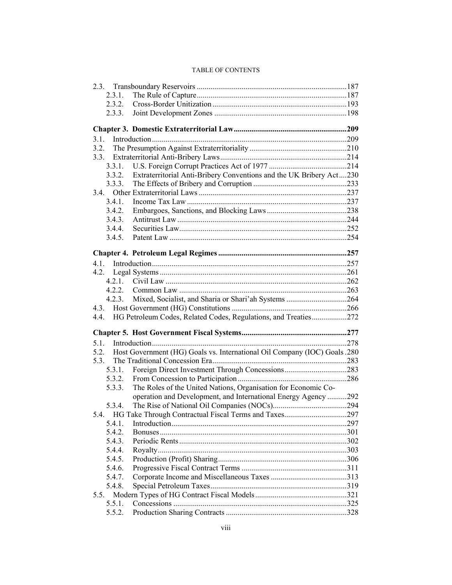| 2.3.1. |                                                                                |  |
|--------|--------------------------------------------------------------------------------|--|
| 2.3.2. |                                                                                |  |
| 2.3.3. |                                                                                |  |
|        |                                                                                |  |
|        |                                                                                |  |
|        |                                                                                |  |
| 3.2.   |                                                                                |  |
|        |                                                                                |  |
| 3.3.1. |                                                                                |  |
| 3.3.2. | Extraterritorial Anti-Bribery Conventions and the UK Bribery Act230            |  |
| 3.3.3. |                                                                                |  |
|        |                                                                                |  |
| 3.4.1. |                                                                                |  |
| 3.4.2. |                                                                                |  |
| 3.4.3. |                                                                                |  |
| 3.4.4. |                                                                                |  |
| 3.4.5. |                                                                                |  |
|        |                                                                                |  |
|        |                                                                                |  |
|        |                                                                                |  |
|        |                                                                                |  |
| 4.2.1. |                                                                                |  |
| 4.2.2. |                                                                                |  |
| 4.2.3. | Mixed, Socialist, and Sharia or Shari'ah Systems 264                           |  |
|        |                                                                                |  |
| 4.4.   | HG Petroleum Codes, Related Codes, Regulations, and Treaties272                |  |
|        |                                                                                |  |
|        |                                                                                |  |
|        |                                                                                |  |
| 5.3.   | 5.2. Host Government (HG) Goals vs. International Oil Company (IOC) Goals .280 |  |
|        |                                                                                |  |
| 5.3.1. |                                                                                |  |
| 5.3.2. |                                                                                |  |
| 5.3.3. | The Roles of the United Nations, Organisation for Economic Co-                 |  |
|        | operation and Development, and International Energy Agency 292                 |  |
| 5.3.4. |                                                                                |  |
|        |                                                                                |  |
| 5.4.1. |                                                                                |  |
| 5.4.2. |                                                                                |  |
| 5.4.3. |                                                                                |  |
| 5.4.4. |                                                                                |  |
| 5.4.5. |                                                                                |  |
| 5.4.6. |                                                                                |  |
| 5.4.7. |                                                                                |  |
| 5.4.8. |                                                                                |  |
| 5.5.   |                                                                                |  |
| 5.5.1. |                                                                                |  |
| 5.5.2. |                                                                                |  |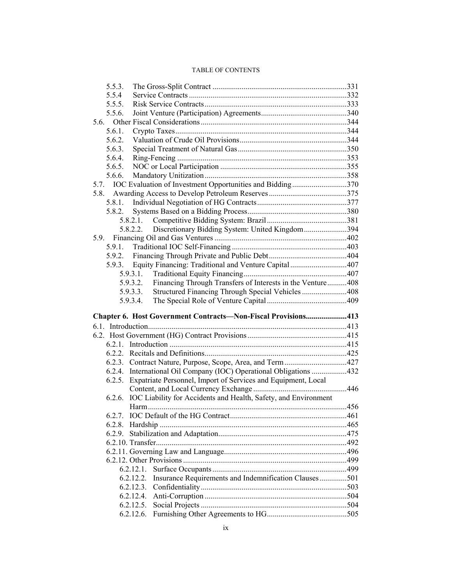| 5.5.3.                                                                    |  |
|---------------------------------------------------------------------------|--|
| 5.5.4                                                                     |  |
| 5.5.5.                                                                    |  |
| 5.5.6.                                                                    |  |
| 5.6.                                                                      |  |
| 5.6.1.                                                                    |  |
| 5.6.2.                                                                    |  |
| 5.6.3.                                                                    |  |
| 5.6.4.                                                                    |  |
| 5.6.5.                                                                    |  |
| 5.6.6.                                                                    |  |
| 5.7. IOC Evaluation of Investment Opportunities and Bidding370            |  |
| 5.8.                                                                      |  |
| 5.8.1.                                                                    |  |
| 5.8.2.                                                                    |  |
| 5.8.2.1.                                                                  |  |
| Discretionary Bidding System: United Kingdom394<br>5.8.2.2.               |  |
| 5.9.                                                                      |  |
| 5.9.1.                                                                    |  |
| 5.9.2.                                                                    |  |
| Equity Financing: Traditional and Venture Capital407<br>5.9.3.            |  |
| 5.9.3.1.                                                                  |  |
| Financing Through Transfers of Interests in the Venture408<br>5.9.3.2.    |  |
| Structured Financing Through Special Vehicles 408<br>5.9.3.3.             |  |
| 5.9.3.4.                                                                  |  |
|                                                                           |  |
|                                                                           |  |
| Chapter 6. Host Government Contracts-Non-Fiscal Provisions413             |  |
|                                                                           |  |
|                                                                           |  |
|                                                                           |  |
|                                                                           |  |
|                                                                           |  |
| 6.2.4. International Oil Company (IOC) Operational Obligations 432        |  |
| Expatriate Personnel, Import of Services and Equipment, Local<br>6.2.5.   |  |
|                                                                           |  |
| IOC Liability for Accidents and Health, Safety, and Environment<br>6.2.6. |  |
|                                                                           |  |
|                                                                           |  |
| 6.2.8.                                                                    |  |
| 6.2.9.                                                                    |  |
|                                                                           |  |
|                                                                           |  |
|                                                                           |  |
| 6.2.12.1.                                                                 |  |
| Insurance Requirements and Indemnification Clauses501<br>6.2.12.2.        |  |
| 6.2.12.3.                                                                 |  |
| 6.2.12.5.                                                                 |  |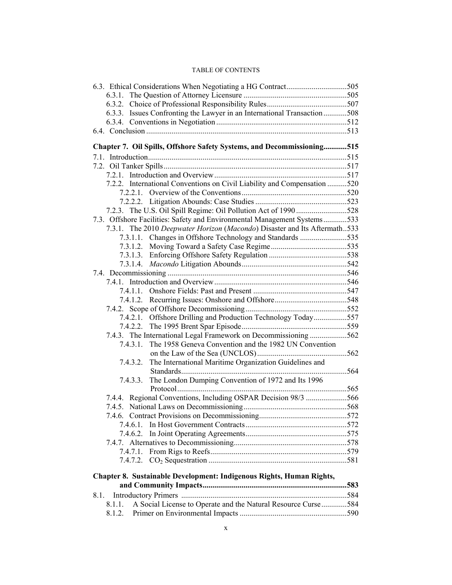| 6.3.3. Issues Confronting the Lawyer in an International Transaction 508  |  |
|---------------------------------------------------------------------------|--|
|                                                                           |  |
|                                                                           |  |
|                                                                           |  |
| Chapter 7. Oil Spills, Offshore Safety Systems, and Decommissioning515    |  |
|                                                                           |  |
|                                                                           |  |
|                                                                           |  |
| 7.2.2. International Conventions on Civil Liability and Compensation 520  |  |
|                                                                           |  |
|                                                                           |  |
| 7.2.3. The U.S. Oil Spill Regime: Oil Pollution Act of 1990528            |  |
| 7.3. Offshore Facilities: Safety and Environmental Management Systems533  |  |
| 7.3.1. The 2010 Deepwater Horizon (Macondo) Disaster and Its Aftermath533 |  |
| 7.3.1.1. Changes in Offshore Technology and Standards 535                 |  |
|                                                                           |  |
|                                                                           |  |
|                                                                           |  |
|                                                                           |  |
|                                                                           |  |
|                                                                           |  |
|                                                                           |  |
|                                                                           |  |
| 7.4.2.1. Offshore Drilling and Production Technology Today557             |  |
|                                                                           |  |
| 7.4.3. The International Legal Framework on Decommissioning 562           |  |
| The 1958 Geneva Convention and the 1982 UN Convention<br>7.4.3.1.         |  |
|                                                                           |  |
| The International Maritime Organization Guidelines and<br>7.4.3.2.        |  |
| 7.4.3.3. The London Dumping Convention of 1972 and Its 1996               |  |
|                                                                           |  |
| 7.4.4. Regional Conventions, Including OSPAR Decision 98/3 566            |  |
|                                                                           |  |
|                                                                           |  |
| 7.4.6.1.                                                                  |  |
| 7.4.6.2.                                                                  |  |
|                                                                           |  |
| 7.4.7.1.                                                                  |  |
| 7.4.7.2.                                                                  |  |
|                                                                           |  |
| Chapter 8. Sustainable Development: Indigenous Rights, Human Rights,      |  |
|                                                                           |  |
| 8.1.                                                                      |  |
| A Social License to Operate and the Natural Resource Curse584<br>8.1.1.   |  |
| 8.1.2.                                                                    |  |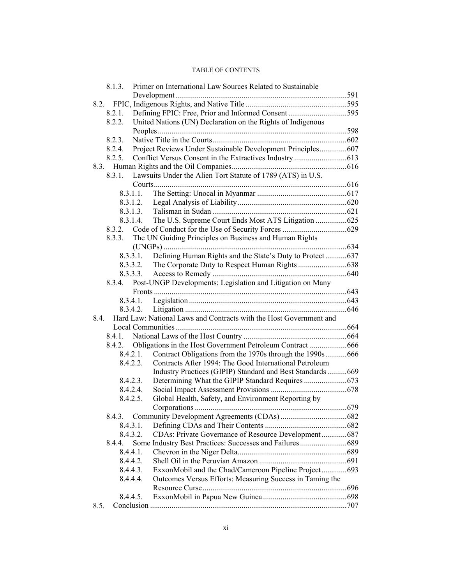| Primer on International Law Sources Related to Sustainable<br>8.1.3.       |  |
|----------------------------------------------------------------------------|--|
|                                                                            |  |
| 8.2.                                                                       |  |
| Defining FPIC: Free, Prior and Informed Consent595<br>8.2.1.               |  |
| United Nations (UN) Declaration on the Rights of Indigenous<br>8.2.2.      |  |
|                                                                            |  |
| 8.2.3.                                                                     |  |
| Project Reviews Under Sustainable Development Principles607<br>8.2.4.      |  |
| 8.2.5.                                                                     |  |
|                                                                            |  |
| 8.3.1.<br>Lawsuits Under the Alien Tort Statute of 1789 (ATS) in U.S.      |  |
|                                                                            |  |
| 8.3.1.1.                                                                   |  |
| 8.3.1.2.                                                                   |  |
| 8.3.1.3.                                                                   |  |
| The U.S. Supreme Court Ends Most ATS Litigation 625<br>8.3.1.4.            |  |
| 8.3.2.                                                                     |  |
| The UN Guiding Principles on Business and Human Rights<br>8.3.3.           |  |
|                                                                            |  |
| Defining Human Rights and the State's Duty to Protect637<br>8.3.3.1.       |  |
| 8.3.3.2.                                                                   |  |
| 8.3.3.3.                                                                   |  |
| Post-UNGP Developments: Legislation and Litigation on Many<br>8.3.4.       |  |
|                                                                            |  |
| 8.3.4.1.                                                                   |  |
| 8.3.4.2.                                                                   |  |
| Hard Law: National Laws and Contracts with the Host Government and<br>8.4. |  |
|                                                                            |  |
| 8.4.1.                                                                     |  |
| Obligations in the Host Government Petroleum Contract 666<br>8.4.2.        |  |
| Contract Obligations from the 1970s through the 1990s666<br>8.4.2.1.       |  |
| 8.4.2.2.<br>Contracts After 1994: The Good International Petroleum         |  |
| Industry Practices (GIPIP) Standard and Best Standards669                  |  |
| 8.4.2.3.                                                                   |  |
| 8.4.2.4.                                                                   |  |
| Global Health, Safety, and Environment Reporting by<br>8.4.2.5.            |  |
|                                                                            |  |
|                                                                            |  |
| 8.4.3.                                                                     |  |
| 8.4.3.1.                                                                   |  |
| CDAs: Private Governance of Resource Development687<br>8.4.3.2.            |  |
| Some Industry Best Practices: Successes and Failures689<br>8.4.4.          |  |
| 8.4.4.1.                                                                   |  |
| 8.4.4.2.                                                                   |  |
| ExxonMobil and the Chad/Cameroon Pipeline Project693<br>8.4.4.3.           |  |
| 8.4.4.4.<br>Outcomes Versus Efforts: Measuring Success in Taming the       |  |
|                                                                            |  |
| 8.4.4.5.<br>8.5.                                                           |  |
|                                                                            |  |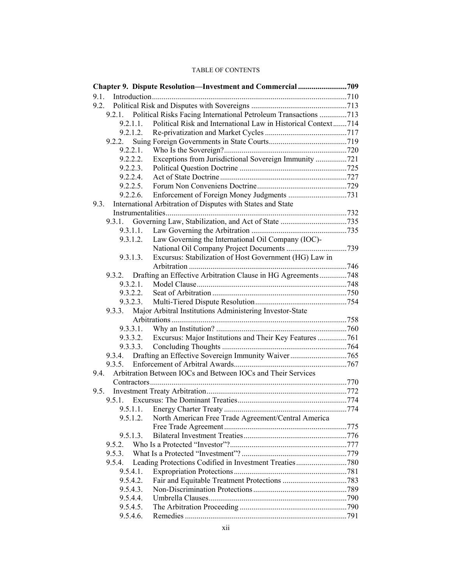|          | Chapter 9. Dispute Resolution-Investment and Commercial 709      |  |
|----------|------------------------------------------------------------------|--|
| 9.1.     |                                                                  |  |
| 9.2.     |                                                                  |  |
| 9.2.1.   | Political Risks Facing International Petroleum Transactions 713  |  |
| 9.2.1.1. | Political Risk and International Law in Historical Context714    |  |
| 9.2.1.2. |                                                                  |  |
| 9.2.2.   |                                                                  |  |
| 9.2.2.1. |                                                                  |  |
| 9.2.2.2. | Exceptions from Jurisdictional Sovereign Immunity 721            |  |
| 9.2.2.3. |                                                                  |  |
| 9.2.2.4. |                                                                  |  |
| 9.2.2.5. |                                                                  |  |
| 9.2.2.6. |                                                                  |  |
| 9.3.     | International Arbitration of Disputes with States and State      |  |
|          |                                                                  |  |
| 9.3.1.   |                                                                  |  |
| 9.3.1.1. |                                                                  |  |
| 9.3.1.2. | Law Governing the International Oil Company (IOC)-               |  |
|          |                                                                  |  |
| 9.3.1.3. | Excursus: Stabilization of Host Government (HG) Law in           |  |
|          |                                                                  |  |
| 9.3.2.   | Drafting an Effective Arbitration Clause in HG Agreements 748    |  |
| 9.3.2.1. |                                                                  |  |
| 9.3.2.2. |                                                                  |  |
| 9.3.2.3. |                                                                  |  |
| 9.3.3.   | Major Arbitral Institutions Administering Investor-State         |  |
|          |                                                                  |  |
|          | 9.3.3.2. Excursus: Major Institutions and Their Key Features 761 |  |
|          |                                                                  |  |
| 9.3.4.   |                                                                  |  |
| 9.3.5.   |                                                                  |  |
| 9.4.     | Arbitration Between IOCs and Between IOCs and Their Services     |  |
|          |                                                                  |  |
| 9.5.     |                                                                  |  |
|          |                                                                  |  |
|          |                                                                  |  |
| 9.5.1.2. | North American Free Trade Agreement/Central America              |  |
|          |                                                                  |  |
| 9.5.1.3. |                                                                  |  |
| 9.5.2.   |                                                                  |  |
| 9.5.3.   |                                                                  |  |
| 9.5.4.   | Leading Protections Codified in Investment Treaties780           |  |
| 9.5.4.1. |                                                                  |  |
| 9.5.4.2. |                                                                  |  |
| 9.5.4.3. |                                                                  |  |
| 9.5.4.4. |                                                                  |  |
| 9.5.4.5. |                                                                  |  |
| 9.5.4.6. |                                                                  |  |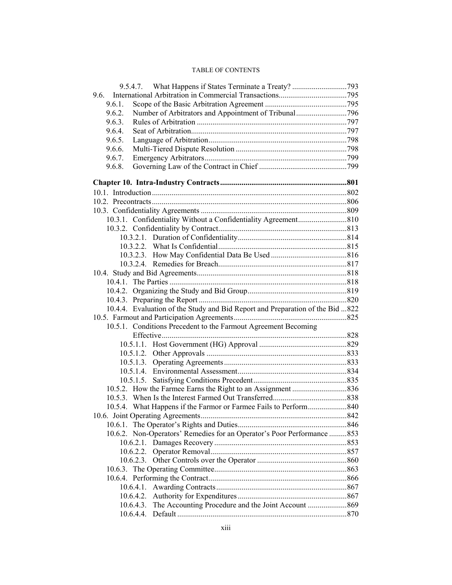| 9.6.   |                                                                               |  |
|--------|-------------------------------------------------------------------------------|--|
| 9.6.1. |                                                                               |  |
| 9.6.2. | Number of Arbitrators and Appointment of Tribunal796                          |  |
| 9.6.3. |                                                                               |  |
| 9.6.4. |                                                                               |  |
| 9.6.5. |                                                                               |  |
| 9.6.6. |                                                                               |  |
| 9.6.7. |                                                                               |  |
| 9.6.8. |                                                                               |  |
|        |                                                                               |  |
|        |                                                                               |  |
|        |                                                                               |  |
|        |                                                                               |  |
|        |                                                                               |  |
|        |                                                                               |  |
|        |                                                                               |  |
|        |                                                                               |  |
|        |                                                                               |  |
|        |                                                                               |  |
|        |                                                                               |  |
|        |                                                                               |  |
|        |                                                                               |  |
|        |                                                                               |  |
|        | 10.4.4. Evaluation of the Study and Bid Report and Preparation of the Bid 822 |  |
|        |                                                                               |  |
|        | 10.5.1. Conditions Precedent to the Farmout Agreement Becoming                |  |
|        |                                                                               |  |
|        |                                                                               |  |
|        |                                                                               |  |
|        |                                                                               |  |
|        |                                                                               |  |
|        |                                                                               |  |
|        |                                                                               |  |
|        |                                                                               |  |
|        |                                                                               |  |
|        |                                                                               |  |
|        |                                                                               |  |
|        | 10.6.2. Non-Operators' Remedies for an Operator's Poor Performance 853        |  |
|        |                                                                               |  |
|        |                                                                               |  |
|        |                                                                               |  |
|        |                                                                               |  |
|        |                                                                               |  |
|        |                                                                               |  |
|        |                                                                               |  |
|        |                                                                               |  |
|        |                                                                               |  |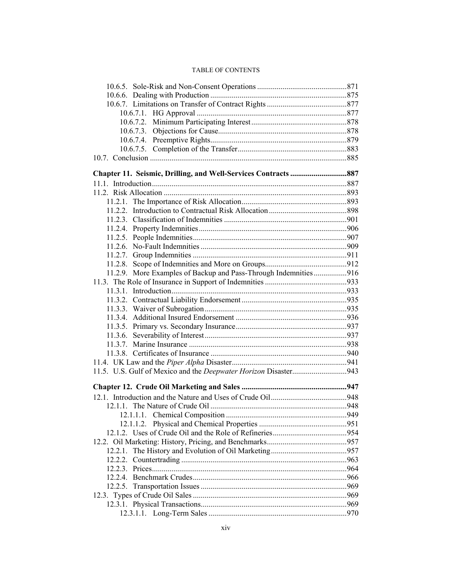| 11.2.7.                                                         |  |
|-----------------------------------------------------------------|--|
| 11.2.8.                                                         |  |
| 11.2.9. More Examples of Backup and Pass-Through Indemnities916 |  |
|                                                                 |  |
|                                                                 |  |
|                                                                 |  |
|                                                                 |  |
|                                                                 |  |
|                                                                 |  |
|                                                                 |  |
|                                                                 |  |
|                                                                 |  |
|                                                                 |  |
|                                                                 |  |
|                                                                 |  |
|                                                                 |  |
|                                                                 |  |
|                                                                 |  |
|                                                                 |  |
|                                                                 |  |
|                                                                 |  |
|                                                                 |  |
|                                                                 |  |
| 12.2.2.                                                         |  |
|                                                                 |  |
|                                                                 |  |
|                                                                 |  |
|                                                                 |  |
|                                                                 |  |
|                                                                 |  |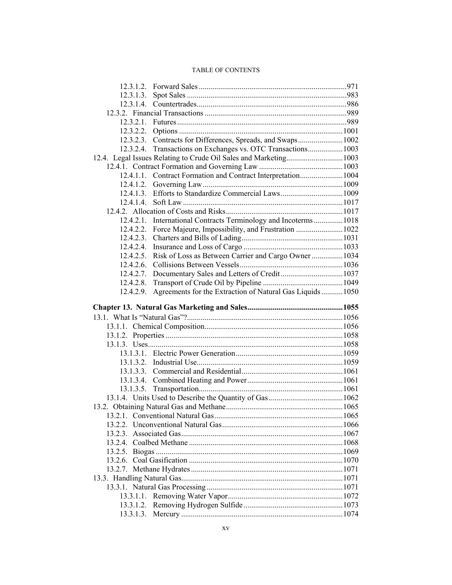| 12.3.1.4. |                                                                  |  |
|-----------|------------------------------------------------------------------|--|
|           |                                                                  |  |
|           |                                                                  |  |
|           |                                                                  |  |
|           | 12.3.2.3. Contracts for Differences, Spreads, and Swaps1002      |  |
| 12.3.2.4. | Transactions on Exchanges vs. OTC Transactions1003               |  |
|           | 12.4. Legal Issues Relating to Crude Oil Sales and Marketing1003 |  |
|           |                                                                  |  |
|           | 12.4.1.1. Contract Formation and Contract Interpretation1004     |  |
|           |                                                                  |  |
|           | 12.4.1.3. Efforts to Standardize Commercial Laws 1009            |  |
|           |                                                                  |  |
|           |                                                                  |  |
|           | 12.4.2.1. International Contracts Terminology and Incoterms 1018 |  |
|           | 12.4.2.2. Force Majeure, Impossibility, and Frustration 1022     |  |
| 12.4.2.3. |                                                                  |  |
| 12.4.2.4. |                                                                  |  |
| 12.4.2.5. | Risk of Loss as Between Carrier and Cargo Owner  1034            |  |
| 12.4.2.6. |                                                                  |  |
| 12.4.2.7. |                                                                  |  |
| 12.4.2.8. |                                                                  |  |
| 12.4.2.9. | Agreements for the Extraction of Natural Gas Liquids  1050       |  |
|           |                                                                  |  |
|           |                                                                  |  |
|           |                                                                  |  |
|           |                                                                  |  |
|           |                                                                  |  |
|           |                                                                  |  |
|           |                                                                  |  |
|           |                                                                  |  |
|           |                                                                  |  |
|           |                                                                  |  |
|           |                                                                  |  |
|           |                                                                  |  |
|           |                                                                  |  |
|           |                                                                  |  |
|           |                                                                  |  |
|           |                                                                  |  |
|           |                                                                  |  |
|           |                                                                  |  |
|           |                                                                  |  |
|           |                                                                  |  |
|           |                                                                  |  |
|           |                                                                  |  |
|           |                                                                  |  |
|           |                                                                  |  |